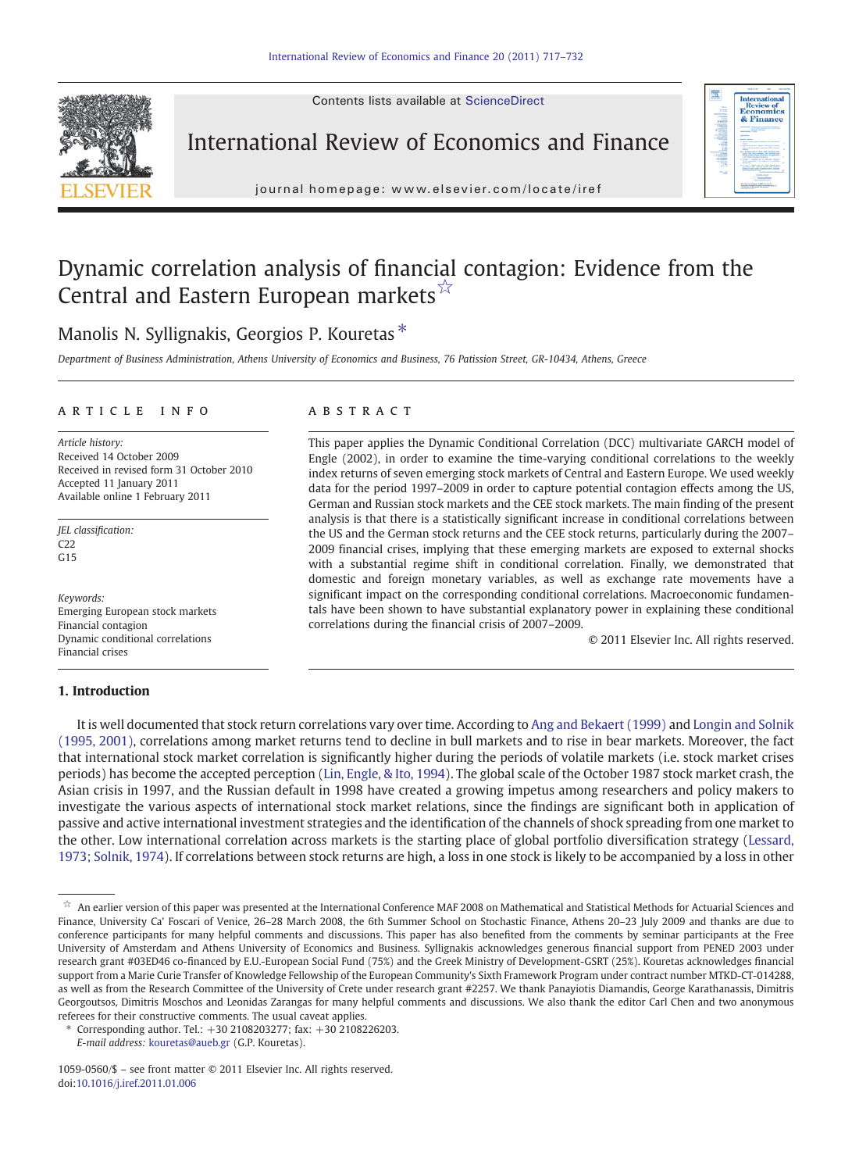Contents lists available at ScienceDirect



International Review of Economics and Finance



j o u r n a l h om e p a g e : www. e l s ev i e r. c om / l o c a t e / i r e f

## Dynamic correlation analysis of financial contagion: Evidence from the Central and Eastern European markets<sup>☆</sup>

### Manolis N. Syllignakis, Georgios P. Kouretas<sup>\*</sup>

Department of Business Administration, Athens University of Economics and Business, 76 Patission Street, GR-10434, Athens, Greece

#### article info abstract

Article history: Received 14 October 2009 Received in revised form 31 October 2010 Accepted 11 January 2011 Available online 1 February 2011

JEL classification:  $C22$  $G15$ 

Keywords: Emerging European stock markets Financial contagion Dynamic conditional correlations Financial crises

### 1. Introduction

This paper applies the Dynamic Conditional Correlation (DCC) multivariate GARCH model of Engle (2002), in order to examine the time-varying conditional correlations to the weekly index returns of seven emerging stock markets of Central and Eastern Europe. We used weekly data for the period 1997–2009 in order to capture potential contagion effects among the US, German and Russian stock markets and the CEE stock markets. The main finding of the present analysis is that there is a statistically significant increase in conditional correlations between the US and the German stock returns and the CEE stock returns, particularly during the 2007– 2009 financial crises, implying that these emerging markets are exposed to external shocks with a substantial regime shift in conditional correlation. Finally, we demonstrated that domestic and foreign monetary variables, as well as exchange rate movements have a significant impact on the corresponding conditional correlations. Macroeconomic fundamentals have been shown to have substantial explanatory power in explaining these conditional correlations during the financial crisis of 2007–2009.

© 2011 Elsevier Inc. All rights reserved.

It is well documented that stock return correlations vary over time. According to [Ang and Bekaert \(1999\)](#page--1-0) and [Longin and Solnik](#page--1-0) [\(1995, 2001\)](#page--1-0), correlations among market returns tend to decline in bull markets and to rise in bear markets. Moreover, the fact that international stock market correlation is significantly higher during the periods of volatile markets (i.e. stock market crises periods) has become the accepted perception [\(Lin, Engle, & Ito, 1994](#page--1-0)). The global scale of the October 1987 stock market crash, the Asian crisis in 1997, and the Russian default in 1998 have created a growing impetus among researchers and policy makers to investigate the various aspects of international stock market relations, since the findings are significant both in application of passive and active international investment strategies and the identification of the channels of shock spreading from one market to the other. Low international correlation across markets is the starting place of global portfolio diversification strategy [\(Lessard,](#page--1-0) [1973; Solnik, 1974\)](#page--1-0). If correlations between stock returns are high, a loss in one stock is likely to be accompanied by a loss in other

 $\overrightarrow{x}$  An earlier version of this paper was presented at the International Conference MAF 2008 on Mathematical and Statistical Methods for Actuarial Sciences and Finance, University Ca' Foscari of Venice, 26–28 March 2008, the 6th Summer School on Stochastic Finance, Athens 20–23 July 2009 and thanks are due to conference participants for many helpful comments and discussions. This paper has also benefited from the comments by seminar participants at the Free University of Amsterdam and Athens University of Economics and Business. Syllignakis acknowledges generous financial support from PENED 2003 under research grant #03ED46 co-financed by E.U.-European Social Fund (75%) and the Greek Ministry of Development-GSRT (25%). Kouretas acknowledges financial support from a Marie Curie Transfer of Knowledge Fellowship of the European Community's Sixth Framework Program under contract number MTKD-CT-014288, as well as from the Research Committee of the University of Crete under research grant #2257. We thank Panayiotis Diamandis, George Karathanassis, Dimitris Georgoutsos, Dimitris Moschos and Leonidas Zarangas for many helpful comments and discussions. We also thank the editor Carl Chen and two anonymous referees for their constructive comments. The usual caveat applies.

<sup>⁎</sup> Corresponding author. Tel.: +30 2108203277; fax: +30 2108226203.

E-mail address: [kouretas@aueb.gr](mailto:kouretas@aueb.gr) (G.P. Kouretas).

<sup>1059-0560/\$</sup> – see front matter © 2011 Elsevier Inc. All rights reserved. doi[:10.1016/j.iref.2011.01.006](http://dx.doi.org/10.1016/j.iref.2011.01.006)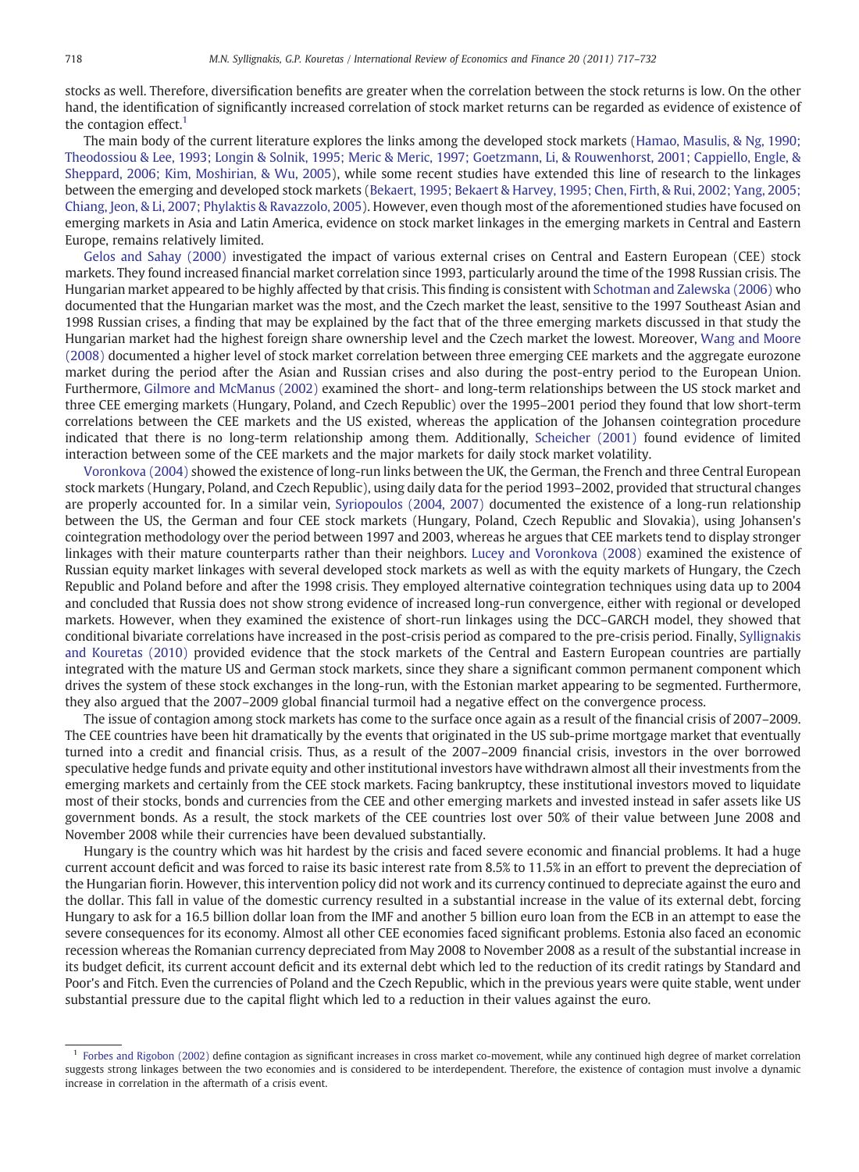stocks as well. Therefore, diversification benefits are greater when the correlation between the stock returns is low. On the other hand, the identification of significantly increased correlation of stock market returns can be regarded as evidence of existence of the contagion effect. $<sup>1</sup>$ </sup>

The main body of the current literature explores the links among the developed stock markets ([Hamao, Masulis, & Ng, 1990;](#page--1-0) [Theodossiou & Lee, 1993; Longin & Solnik, 1995; Meric & Meric, 1997; Goetzmann, Li, & Rouwenhorst, 2001; Cappiello, Engle, &](#page--1-0) [Sheppard, 2006; Kim, Moshirian, & Wu, 2005](#page--1-0)), while some recent studies have extended this line of research to the linkages between the emerging and developed stock markets [\(Bekaert, 1995; Bekaert & Harvey, 1995; Chen, Firth, & Rui, 2002; Yang, 2005;](#page--1-0) [Chiang, Jeon, & Li, 2007; Phylaktis & Ravazzolo, 2005](#page--1-0)). However, even though most of the aforementioned studies have focused on emerging markets in Asia and Latin America, evidence on stock market linkages in the emerging markets in Central and Eastern Europe, remains relatively limited.

[Gelos and Sahay \(2000\)](#page--1-0) investigated the impact of various external crises on Central and Eastern European (CEE) stock markets. They found increased financial market correlation since 1993, particularly around the time of the 1998 Russian crisis. The Hungarian market appeared to be highly affected by that crisis. This finding is consistent with [Schotman and Zalewska \(2006\)](#page--1-0) who documented that the Hungarian market was the most, and the Czech market the least, sensitive to the 1997 Southeast Asian and 1998 Russian crises, a finding that may be explained by the fact that of the three emerging markets discussed in that study the Hungarian market had the highest foreign share ownership level and the Czech market the lowest. Moreover, [Wang and Moore](#page--1-0) [\(2008\)](#page--1-0) documented a higher level of stock market correlation between three emerging CEE markets and the aggregate eurozone market during the period after the Asian and Russian crises and also during the post-entry period to the European Union. Furthermore, [Gilmore and McManus \(2002\)](#page--1-0) examined the short- and long-term relationships between the US stock market and three CEE emerging markets (Hungary, Poland, and Czech Republic) over the 1995–2001 period they found that low short-term correlations between the CEE markets and the US existed, whereas the application of the Johansen cointegration procedure indicated that there is no long-term relationship among them. Additionally, [Scheicher \(2001\)](#page--1-0) found evidence of limited interaction between some of the CEE markets and the major markets for daily stock market volatility.

[Voronkova \(2004\)](#page--1-0) showed the existence of long-run links between the UK, the German, the French and three Central European stock markets (Hungary, Poland, and Czech Republic), using daily data for the period 1993–2002, provided that structural changes are properly accounted for. In a similar vein, [Syriopoulos \(2004, 2007\)](#page--1-0) documented the existence of a long-run relationship between the US, the German and four CEE stock markets (Hungary, Poland, Czech Republic and Slovakia), using Johansen's cointegration methodology over the period between 1997 and 2003, whereas he argues that CEE markets tend to display stronger linkages with their mature counterparts rather than their neighbors. [Lucey and Voronkova \(2008\)](#page--1-0) examined the existence of Russian equity market linkages with several developed stock markets as well as with the equity markets of Hungary, the Czech Republic and Poland before and after the 1998 crisis. They employed alternative cointegration techniques using data up to 2004 and concluded that Russia does not show strong evidence of increased long-run convergence, either with regional or developed markets. However, when they examined the existence of short-run linkages using the DCC–GARCH model, they showed that conditional bivariate correlations have increased in the post-crisis period as compared to the pre-crisis period. Finally, [Syllignakis](#page--1-0) [and Kouretas \(2010\)](#page--1-0) provided evidence that the stock markets of the Central and Eastern European countries are partially integrated with the mature US and German stock markets, since they share a significant common permanent component which drives the system of these stock exchanges in the long-run, with the Estonian market appearing to be segmented. Furthermore, they also argued that the 2007–2009 global financial turmoil had a negative effect on the convergence process.

The issue of contagion among stock markets has come to the surface once again as a result of the financial crisis of 2007–2009. The CEE countries have been hit dramatically by the events that originated in the US sub-prime mortgage market that eventually turned into a credit and financial crisis. Thus, as a result of the 2007–2009 financial crisis, investors in the over borrowed speculative hedge funds and private equity and other institutional investors have withdrawn almost all their investments from the emerging markets and certainly from the CEE stock markets. Facing bankruptcy, these institutional investors moved to liquidate most of their stocks, bonds and currencies from the CEE and other emerging markets and invested instead in safer assets like US government bonds. As a result, the stock markets of the CEE countries lost over 50% of their value between June 2008 and November 2008 while their currencies have been devalued substantially.

Hungary is the country which was hit hardest by the crisis and faced severe economic and financial problems. It had a huge current account deficit and was forced to raise its basic interest rate from 8.5% to 11.5% in an effort to prevent the depreciation of the Hungarian fiorin. However, this intervention policy did not work and its currency continued to depreciate against the euro and the dollar. This fall in value of the domestic currency resulted in a substantial increase in the value of its external debt, forcing Hungary to ask for a 16.5 billion dollar loan from the IMF and another 5 billion euro loan from the ECB in an attempt to ease the severe consequences for its economy. Almost all other CEE economies faced significant problems. Estonia also faced an economic recession whereas the Romanian currency depreciated from May 2008 to November 2008 as a result of the substantial increase in its budget deficit, its current account deficit and its external debt which led to the reduction of its credit ratings by Standard and Poor's and Fitch. Even the currencies of Poland and the Czech Republic, which in the previous years were quite stable, went under substantial pressure due to the capital flight which led to a reduction in their values against the euro.

 $<sup>1</sup>$  [Forbes and Rigobon \(2002\)](#page--1-0) define contagion as significant increases in cross market co-movement, while any continued high degree of market correlation</sup> suggests strong linkages between the two economies and is considered to be interdependent. Therefore, the existence of contagion must involve a dynamic increase in correlation in the aftermath of a crisis event.